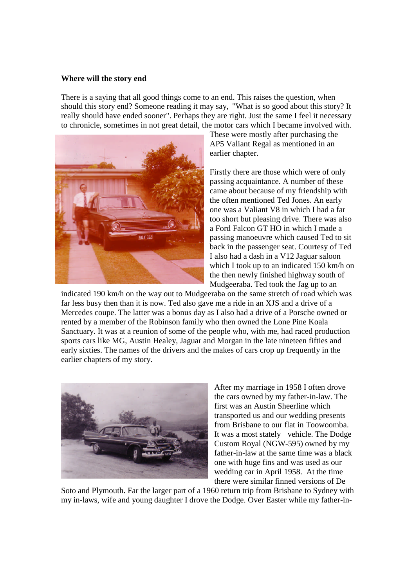## **Where will the story end**

There is a saying that all good things come to an end. This raises the question, when should this story end? Someone reading it may say, "What is so good about this story? It really should have ended sooner". Perhaps they are right. Just the same I feel it necessary to chronicle, sometimes in not great detail, the motor cars which I became involved with.



These were mostly after purchasing the AP5 Valiant Regal as mentioned in an earlier chapter.

Firstly there are those which were of only passing acquaintance. A number of these came about because of my friendship with the often mentioned Ted Jones. An early one was a Valiant V8 in which I had a far too short but pleasing drive. There was also a Ford Falcon GT HO in which I made a passing manoeuvre which caused Ted to sit back in the passenger seat. Courtesy of Ted I also had a dash in a V12 Jaguar saloon which I took up to an indicated 150 km/h on the then newly finished highway south of Mudgeeraba. Ted took the Jag up to an

indicated 190 km/h on the way out to Mudgeeraba on the same stretch of road which was far less busy then than it is now. Ted also gave me a ride in an XJS and a drive of a Mercedes coupe. The latter was a bonus day as I also had a drive of a Porsche owned or rented by a member of the Robinson family who then owned the Lone Pine Koala Sanctuary. It was at a reunion of some of the people who, with me, had raced production sports cars like MG, Austin Healey, Jaguar and Morgan in the late nineteen fifties and early sixties. The names of the drivers and the makes of cars crop up frequently in the earlier chapters of my story.



After my marriage in 1958 I often drove the cars owned by my father-in-law. The first was an Austin Sheerline which transported us and our wedding presents from Brisbane to our flat in Toowoomba. It was a most stately vehicle. The Dodge Custom Royal (NGW-595) owned by my father-in-law at the same time was a black one with huge fins and was used as our wedding car in April 1958. At the time there were similar finned versions of De

Soto and Plymouth. Far the larger part of a 1960 return trip from Brisbane to Sydney with my in-laws, wife and young daughter I drove the Dodge. Over Easter while my father-in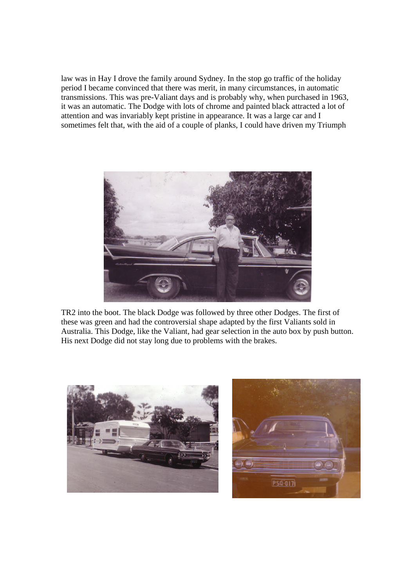law was in Hay I drove the family around Sydney. In the stop go traffic of the holiday period I became convinced that there was merit, in many circumstances, in automatic transmissions. This was pre-Valiant days and is probably why, when purchased in 1963, it was an automatic. The Dodge with lots of chrome and painted black attracted a lot of attention and was invariably kept pristine in appearance. It was a large car and I sometimes felt that, with the aid of a couple of planks, I could have driven my Triumph



TR2 into the boot. The black Dodge was followed by three other Dodges. The first of these was green and had the controversial shape adapted by the first Valiants sold in Australia. This Dodge, like the Valiant, had gear selection in the auto box by push button. His next Dodge did not stay long due to problems with the brakes.



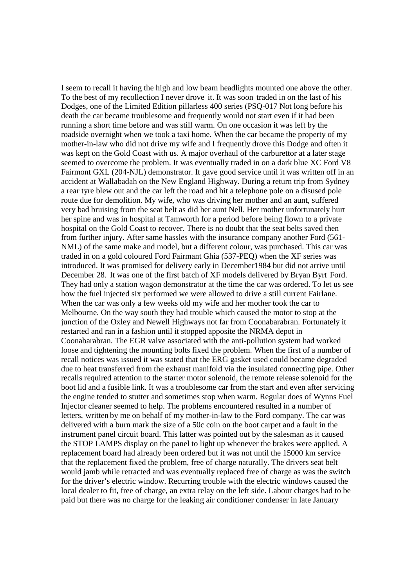I seem to recall it having the high and low beam headlights mounted one above the other. To the best of my recollection I never drove it. It was soon traded in on the last of his Dodges, one of the Limited Edition pillarless 400 series (PSQ-017 Not long before his death the car became troublesome and frequently would not start even if it had been running a short time before and was still warm. On one occasion it was left by the roadside overnight when we took a taxi home. When the car became the property of my mother-in-law who did not drive my wife and I frequently drove this Dodge and often it was kept on the Gold Coast with us. A major overhaul of the carburettor at a later stage seemed to overcome the problem. It was eventually traded in on a dark blue XC Ford V8 Fairmont GXL (204-NJL) demonstrator. It gave good service until it was written off in an accident at Wallabadah on the New England Highway. During a return trip from Sydney a rear tyre blew out and the car left the road and hit a telephone pole on a disused pole route due for demolition. My wife, who was driving her mother and an aunt, suffered very bad bruising from the seat belt as did her aunt Nell. Her mother unfortunately hurt her spine and was in hospital at Tamworth for a period before being flown to a private hospital on the Gold Coast to recover. There is no doubt that the seat belts saved then from further injury. After same hassles with the insurance company another Ford (561- NML) of the same make and model, but a different colour, was purchased. This car was traded in on a gold coloured Ford Fairmant Ghia (537-PEQ) when the XF series was introduced. It was promised for delivery early in December1984 but did not arrive until December 28. It was one of the first batch of XF models delivered by Bryan Byrt Ford. They had only a station wagon demonstrator at the time the car was ordered. To let us see how the fuel injected six performed we were allowed to drive a still current Fairlane. When the car was only a few weeks old my wife and her mother took the car to Melbourne. On the way south they had trouble which caused the motor to stop at the junction of the Oxley and Newell Highways not far from Coonabarabran. Fortunately it restarted and ran in a fashion until it stopped apposite the NRMA depot in Coonabarabran. The EGR valve associated with the anti-pollution system had worked loose and tightening the mounting bolts fixed the problem. When the first of a number of recall notices was issued it was stated that the ERG gasket used could became degraded due to heat transferred from the exhaust manifold via the insulated connecting pipe. Other recalls required attention to the starter motor solenoid, the remote release solenoid for the boot lid and a fusible link. It was a troublesome car from the start and even after servicing the engine tended to stutter and sometimes stop when warm. Regular does of Wynns Fuel Injector cleaner seemed to help. The problems encountered resulted in a number of letters, written by me on behalf of my mother-in-law to the Ford company. The car was delivered with a burn mark the size of a 50c coin on the boot carpet and a fault in the instrument panel circuit board. This latter was pointed out by the salesman as it caused the STOP LAMPS display on the panel to light up whenever the brakes were applied. A replacement board had already been ordered but it was not until the 15000 km service that the replacement fixed the problem, free of charge naturally. The drivers seat belt would jamb while retracted and was eventually replaced free of charge as was the switch for the driver's electric window. Recurring trouble with the electric windows caused the local dealer to fit, free of charge, an extra relay on the left side. Labour charges had to be paid but there was no charge for the leaking air conditioner condenser in late January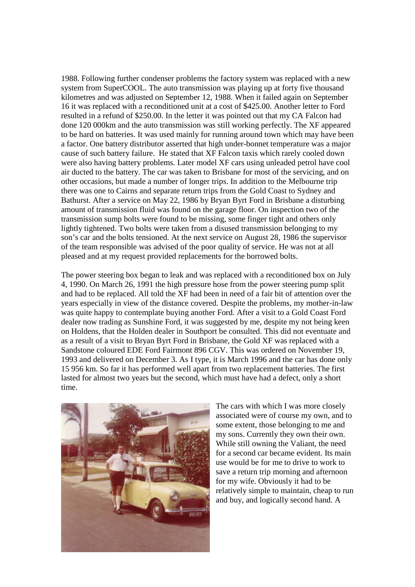1988. Following further condenser problems the factory system was replaced with a new system from SuperCOOL. The auto transmission was playing up at forty five thousand kilometres and was adjusted on September 12, 1988. When it failed again on September 16 it was replaced with a reconditioned unit at a cost of \$425.00. Another letter to Ford resulted in a refund of \$250.00. In the letter it was pointed out that my CA Falcon had done 120 000km and the auto transmission was still working perfectly. The XF appeared to be hard on batteries. It was used mainly for running around town which may have been a factor. One battery distributor asserted that high under-bonnet temperature was a major cause of such battery failure. He stated that XF Falcon taxis which rarely cooled down were also having battery problems. Later model XF cars using unleaded petrol have cool air ducted to the battery. The car was taken to Brisbane for most of the servicing, and on other occasions, but made a number of longer trips. In addition to the Melbourne trip there was one to Cairns and separate return trips from the Gold Coast to Sydney and Bathurst. After a service on May 22, 1986 by Bryan Byrt Ford in Brisbane a disturbing amount of transmission fluid was found on the garage floor. On inspection two of the transmission sump bolts were found to be missing, some finger tight and others only lightly tightened. Two bolts were taken from a disused transmission belonging to my son's car and the bolts tensioned. At the next service on August 28, 1986 the supervisor of the team responsible was advised of the poor quality of service. He was not at all pleased and at my request provided replacements for the borrowed bolts.

The power steering box began to leak and was replaced with a reconditioned box on July 4, 1990. On March 26, 1991 the high pressure hose from the power steering pump split and had to be replaced. All told the XF had been in need of a fair bit of attention over the years especially in view of the distance covered. Despite the problems, my mother-in-law was quite happy to contemplate buying another Ford. After a visit to a Gold Coast Ford dealer now trading as Sunshine Ford, it was suggested by me, despite my not being keen on Holdens, that the Holden dealer in Southport be consulted. This did not eventuate and as a result of a visit to Bryan Byrt Ford in Brisbane, the Gold XF was replaced with a Sandstone coloured EDE Ford Fairmont 896 CGV. This was ordered on November 19, 1993 and delivered on December 3. As I type, it is March 1996 and the car has done only 15 956 km. So far it has performed well apart from two replacement batteries. The first lasted for almost two years but the second, which must have had a defect, only a short time.



The cars with which I was more closely associated were of course my own, and to some extent, those belonging to me and my sons. Currently they own their own. While still owning the Valiant, the need for a second car became evident. Its main use would be for me to drive to work to save a return trip morning and afternoon for my wife. Obviously it had to be relatively simple to maintain, cheap to run and buy, and logically second hand. A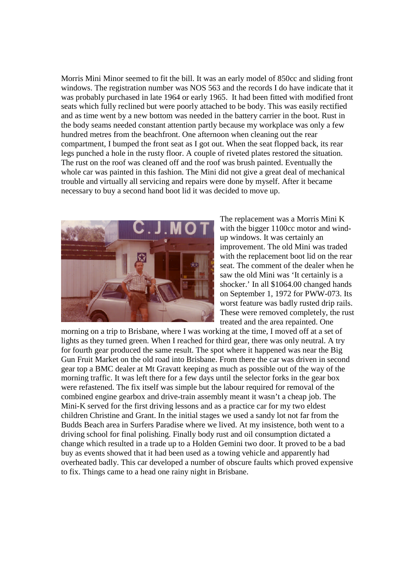Morris Mini Minor seemed to fit the bill. It was an early model of 850cc and sliding front windows. The registration number was NOS 563 and the records I do have indicate that it was probably purchased in late 1964 or early 1965. It had been fitted with modified front seats which fully reclined but were poorly attached to be body. This was easily rectified and as time went by a new bottom was needed in the battery carrier in the boot. Rust in the body seams needed constant attention partly because my workplace was only a few hundred metres from the beachfront. One afternoon when cleaning out the rear compartment, I bumped the front seat as I got out. When the seat flopped back, its rear legs punched a hole in the rusty floor. A couple of riveted plates restored the situation. The rust on the roof was cleaned off and the roof was brush painted. Eventually the whole car was painted in this fashion. The Mini did not give a great deal of mechanical trouble and virtually all servicing and repairs were done by myself. After it became necessary to buy a second hand boot lid it was decided to move up.



The replacement was a Morris Mini K with the bigger 1100cc motor and windup windows. It was certainly an improvement. The old Mini was traded with the replacement boot lid on the rear seat. The comment of the dealer when he saw the old Mini was 'It certainly is a shocker.' In all \$1064.00 changed hands on September 1, 1972 for PWW-073. Its worst feature was badly rusted drip rails. These were removed completely, the rust treated and the area repainted. One

morning on a trip to Brisbane, where I was working at the time, I moved off at a set of lights as they turned green. When I reached for third gear, there was only neutral. A try for fourth gear produced the same result. The spot where it happened was near the Big Gun Fruit Market on the old road into Brisbane. From there the car was driven in second gear top a BMC dealer at Mt Gravatt keeping as much as possible out of the way of the morning traffic. It was left there for a few days until the selector forks in the gear box were refastened. The fix itself was simple but the labour required for removal of the combined engine gearbox and drive-train assembly meant it wasn't a cheap job. The Mini-K served for the first driving lessons and as a practice car for my two eldest children Christine and Grant. In the initial stages we used a sandy lot not far from the Budds Beach area in Surfers Paradise where we lived. At my insistence, both went to a driving school for final polishing. Finally body rust and oil consumption dictated a change which resulted in a trade up to a Holden Gemini two door. It proved to be a bad buy as events showed that it had been used as a towing vehicle and apparently had overheated badly. This car developed a number of obscure faults which proved expensive to fix. Things came to a head one rainy night in Brisbane.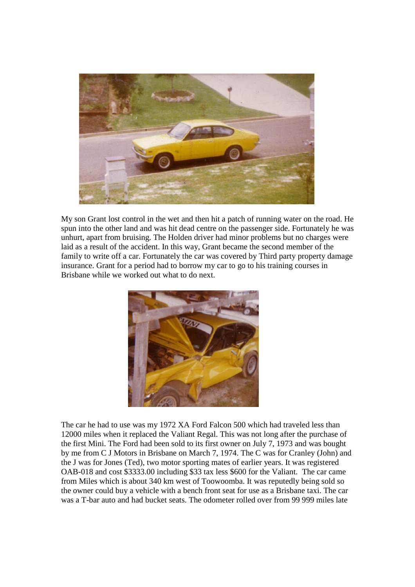

My son Grant lost control in the wet and then hit a patch of running water on the road. He spun into the other land and was hit dead centre on the passenger side. Fortunately he was unhurt, apart from bruising. The Holden driver had minor problems but no charges were laid as a result of the accident. In this way, Grant became the second member of the family to write off a car. Fortunately the car was covered by Third party property damage insurance. Grant for a period had to borrow my car to go to his training courses in Brisbane while we worked out what to do next.



The car he had to use was my 1972 XA Ford Falcon 500 which had traveled less than 12000 miles when it replaced the Valiant Regal. This was not long after the purchase of the first Mini. The Ford had been sold to its first owner on July 7, 1973 and was bought by me from C J Motors in Brisbane on March 7, 1974. The C was for Cranley (John) and the J was for Jones (Ted), two motor sporting mates of earlier years. It was registered OAB-018 and cost \$3333.00 including \$33 tax less \$600 for the Valiant. The car came from Miles which is about 340 km west of Toowoomba. It was reputedly being sold so the owner could buy a vehicle with a bench front seat for use as a Brisbane taxi. The car was a T-bar auto and had bucket seats. The odometer rolled over from 99 999 miles late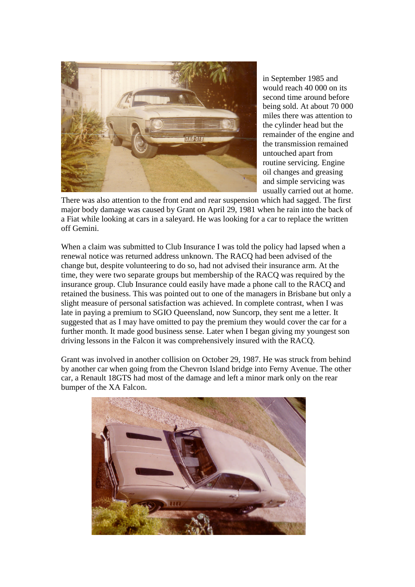

in September 1985 and would reach 40 000 on its second time around before being sold. At about 70 000 miles there was attention to the cylinder head but the remainder of the engine and the transmission remained untouched apart from routine servicing. Engine oil changes and greasing and simple servicing was usually carried out at home.

There was also attention to the front end and rear suspension which had sagged. The first major body damage was caused by Grant on April 29, 1981 when he rain into the back of a Fiat while looking at cars in a saleyard. He was looking for a car to replace the written off Gemini.

When a claim was submitted to Club Insurance I was told the policy had lapsed when a renewal notice was returned address unknown. The RACQ had been advised of the change but, despite volunteering to do so, had not advised their insurance arm. At the time, they were two separate groups but membership of the RACQ was required by the insurance group. Club Insurance could easily have made a phone call to the RACQ and retained the business. This was pointed out to one of the managers in Brisbane but only a slight measure of personal satisfaction was achieved. In complete contrast, when I was late in paying a premium to SGIO Queensland, now Suncorp, they sent me a letter. It suggested that as I may have omitted to pay the premium they would cover the car for a further month. It made good business sense. Later when I began giving my youngest son driving lessons in the Falcon it was comprehensively insured with the RACQ.

Grant was involved in another collision on October 29, 1987. He was struck from behind by another car when going from the Chevron Island bridge into Ferny Avenue. The other car, a Renault 18GTS had most of the damage and left a minor mark only on the rear bumper of the XA Falcon.

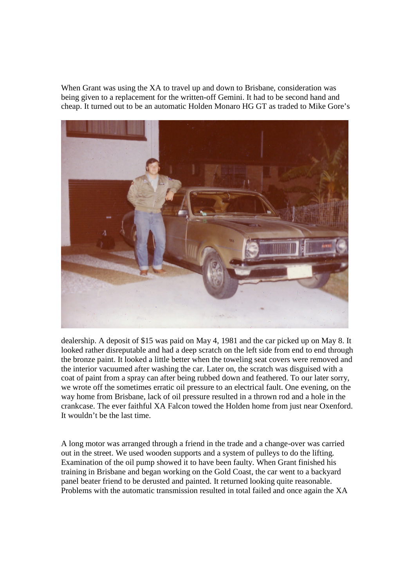When Grant was using the XA to travel up and down to Brisbane, consideration was being given to a replacement for the written-off Gemini. It had to be second hand and cheap. It turned out to be an automatic Holden Monaro HG GT as traded to Mike Gore's



dealership. A deposit of \$15 was paid on May 4, 1981 and the car picked up on May 8. It looked rather disreputable and had a deep scratch on the left side from end to end through the bronze paint. It looked a little better when the toweling seat covers were removed and the interior vacuumed after washing the car. Later on, the scratch was disguised with a coat of paint from a spray can after being rubbed down and feathered. To our later sorry, we wrote off the sometimes erratic oil pressure to an electrical fault. One evening, on the way home from Brisbane, lack of oil pressure resulted in a thrown rod and a hole in the crankcase. The ever faithful XA Falcon towed the Holden home from just near Oxenford. It wouldn't be the last time.

A long motor was arranged through a friend in the trade and a change-over was carried out in the street. We used wooden supports and a system of pulleys to do the lifting. Examination of the oil pump showed it to have been faulty. When Grant finished his training in Brisbane and began working on the Gold Coast, the car went to a backyard panel beater friend to be derusted and painted. It returned looking quite reasonable. Problems with the automatic transmission resulted in total failed and once again the XA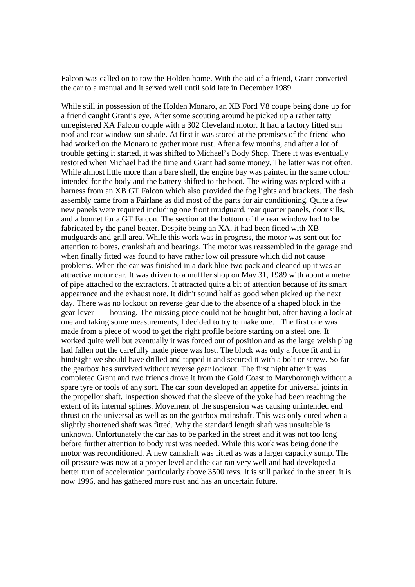Falcon was called on to tow the Holden home. With the aid of a friend, Grant converted the car to a manual and it served well until sold late in December 1989.

While still in possession of the Holden Monaro, an XB Ford V8 coupe being done up for a friend caught Grant's eye. After some scouting around he picked up a rather tatty unregistered XA Falcon couple with a 302 Cleveland motor. It had a factory fitted sun roof and rear window sun shade. At first it was stored at the premises of the friend who had worked on the Monaro to gather more rust. After a few months, and after a lot of trouble getting it started, it was shifted to Michael's Body Shop. There it was eventually restored when Michael had the time and Grant had some money. The latter was not often. While almost little more than a bare shell, the engine bay was painted in the same colour intended for the body and the battery shifted to the boot. The wiring was replced with a harness from an XB GT Falcon which also provided the fog lights and brackets. The dash assembly came from a Fairlane as did most of the parts for air conditioning. Quite a few new panels were required including one front mudguard, rear quarter panels, door sills, and a bonnet for a GT Falcon. The section at the bottom of the rear window had to be fabricated by the panel beater. Despite being an XA, it had been fitted with XB mudguards and grill area. While this work was in progress, the motor was sent out for attention to bores, crankshaft and bearings. The motor was reassembled in the garage and when finally fitted was found to have rather low oil pressure which did not cause problems. When the car was finished in a dark blue two pack and cleaned up it was an attractive motor car. It was driven to a muffler shop on May 31, 1989 with about a metre of pipe attached to the extractors. It attracted quite a bit of attention because of its smart appearance and the exhaust note. It didn't sound half as good when picked up the next day. There was no lockout on reverse gear due to the absence of a shaped block in the gear-lever housing. The missing piece could not be bought but, after having a look at one and taking some measurements, I decided to try to make one. The first one was made from a piece of wood to get the right profile before starting on a steel one. It worked quite well but eventually it was forced out of position and as the large welsh plug had fallen out the carefully made piece was lost. The block was only a force fit and in hindsight we should have drilled and tapped it and secured it with a bolt or screw. So far the gearbox has survived without reverse gear lockout. The first night after it was completed Grant and two friends drove it from the Gold Coast to Maryborough without a spare tyre or tools of any sort. The car soon developed an appetite for universal joints in the propellor shaft. Inspection showed that the sleeve of the yoke had been reaching the extent of its internal splines. Movement of the suspension was causing unintended end thrust on the universal as well as on the gearbox mainshaft. This was only cured when a slightly shortened shaft was fitted. Why the standard length shaft was unsuitable is unknown. Unfortunately the car has to be parked in the street and it was not too long before further attention to body rust was needed. While this work was being done the motor was reconditioned. A new camshaft was fitted as was a larger capacity sump. The oil pressure was now at a proper level and the car ran very well and had developed a better turn of acceleration particularly above 3500 revs. It is still parked in the street, it is now 1996, and has gathered more rust and has an uncertain future.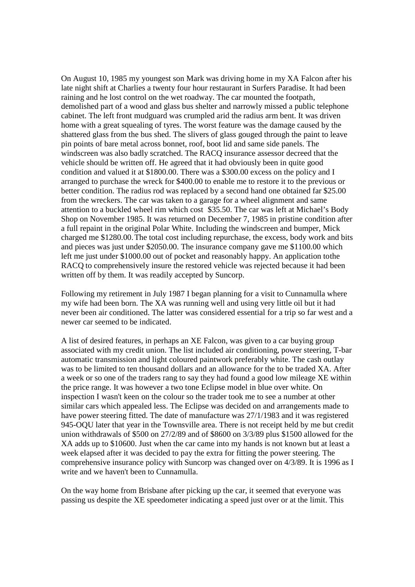On August 10, 1985 my youngest son Mark was driving home in my XA Falcon after his late night shift at Charlies a twenty four hour restaurant in Surfers Paradise. It had been raining and he lost control on the wet roadway. The car mounted the footpath, demolished part of a wood and glass bus shelter and narrowly missed a public telephone cabinet. The left front mudguard was crumpled arid the radius arm bent. It was driven home with a great squealing of tyres. The worst feature was the damage caused by the shattered glass from the bus shed. The slivers of glass gouged through the paint to leave pin points of bare metal across bonnet, roof, boot lid and same side panels. The windscreen was also badly scratched. The RACQ insurance assessor decreed that the vehicle should be written off. He agreed that it had obviously been in quite good condition and valued it at \$1800.00. There was a \$300.00 excess on the policy and I arranged to purchase the wreck for \$400.00 to enable me to restore it to the previous or better condition. The radius rod was replaced by a second hand one obtained far \$25.00 from the wreckers. The car was taken to a garage for a wheel alignment and same attention to a buckled wheel rim which cost \$35.50. The car was left at Michael's Body Shop on November 1985. It was returned on December 7, 1985 in pristine condition after a full repaint in the original Polar White. Including the windscreen and bumper, Mick charged me \$1280.00.The total cost including repurchase, the excess, body work and bits and pieces was just under \$2050.00. The insurance company gave me \$1100.00 which left me just under \$1000.00 out of pocket and reasonably happy. An application tothe RACQ to comprehensively insure the restored vehicle was rejected because it had been written off by them. It was readily accepted by Suncorp.

Following my retirement in July 1987 I began planning for a visit to Cunnamulla where my wife had been born. The XA was running well and using very little oil but it had never been air conditioned. The latter was considered essential for a trip so far west and a newer car seemed to be indicated.

A list of desired features, in perhaps an XE Falcon, was given to a car buying group associated with my credit union. The list included air conditioning, power steering, T-bar automatic transmission and light coloured paintwork preferably white. The cash outlay was to be limited to ten thousand dollars and an allowance for the to be traded XA. After a week or so one of the traders rang to say they had found a good low mileage XE within the price range. It was however a two tone Eclipse model in blue over white. On inspection I wasn't keen on the colour so the trader took me to see a number at other similar cars which appealed less. The Eclipse was decided on and arrangements made to have power steering fitted. The date of manufacture was 27/1/1983 and it was registered 945-OQU later that year in the Townsville area. There is not receipt held by me but credit union withdrawals of \$500 on 27/2/89 and of \$8600 on 3/3/89 plus \$1500 allowed for the XA adds up to \$10600. Just when the car came into my hands is not known but at least a week elapsed after it was decided to pay the extra for fitting the power steering. The comprehensive insurance policy with Suncorp was changed over on 4/3/89. It is 1996 as I write and we haven't been to Cunnamulla.

On the way home from Brisbane after picking up the car, it seemed that everyone was passing us despite the XE speedometer indicating a speed just over or at the limit. This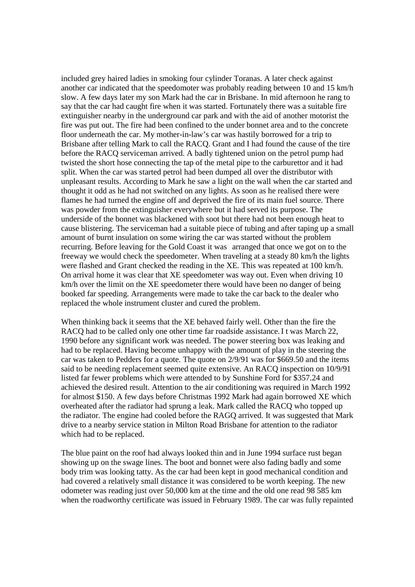included grey haired ladies in smoking four cylinder Toranas. A later check against another car indicated that the speedomoter was probably reading between 10 and 15 km/h slow. A few days later my son Mark had the car in Brisbane. In mid afternoon he rang to say that the car had caught fire when it was started. Fortunately there was a suitable fire extinguisher nearby in the underground car park and with the aid of another motorist the fire was put out. The fire had been confined to the under bonnet area and to the concrete floor underneath the car. My mother-in-law's car was hastily borrowed for a trip to Brisbane after telling Mark to call the RACQ. Grant and I had found the cause of the tire before the RACQ serviceman arrived. A badly tightened union on the petrol pump had twisted the short hose connecting the tap of the metal pipe to the carburettor and it had split. When the car was started petrol had been dumped all over the distributor with unpleasant results. According to Mark he saw a light on the wall when the car started and thought it odd as he had not switched on any lights. As soon as he realised there were flames he had turned the engine off and deprived the fire of its main fuel source. There was powder from the extinguisher everywhere but it had served its purpose. The underside of the bonnet was blackened with soot but there had not been enough heat to cause blistering. The serviceman had a suitable piece of tubing and after taping up a small amount of burnt insulation on some wiring the car was started without the problem recurring. Before leaving for the Gold Coast it was arranged that once we got on to the freeway we would check the speedometer. When traveling at a steady 80 km/h the lights were flashed and Grant checked the reading in the XE. This was repeated at 100 km/h. On arrival home it was clear that XE speedometer was way out. Even when driving 10 km/h over the limit on the XE speedometer there would have been no danger of being booked far speeding. Arrangements were made to take the car back to the dealer who replaced the whole instrument cluster and cured the problem.

When thinking back it seems that the XE behaved fairly well. Other than the fire the RACQ had to be called only one other time far roadside assistance. I t was March 22, 1990 before any significant work was needed. The power steering box was leaking and had to be replaced. Having become unhappy with the amount of play in the steering the car was taken to Pedders for a quote. The quote on 2/9/91 was for \$669.50 and the items said to be needing replacement seemed quite extensive. An RACQ inspection on 10/9/91 listed far fewer problems which were attended to by Sunshine Ford for \$357.24 and achieved the desired result. Attention to the air conditioning was required in March 1992 for almost \$150. A few days before Christmas 1992 Mark had again borrowed XE which overheated after the radiator had sprung a leak. Mark called the RACQ who topped up the radiator. The engine had cooled before the RAGQ arrived. It was suggested that Mark drive to a nearby service station in Milton Road Brisbane for attention to the radiator which had to be replaced.

The blue paint on the roof had always looked thin and in June 1994 surface rust began showing up on the swage lines. The boot and bonnet were also fading badly and some body trim was looking tatty. As the car had been kept in good mechanical condition and had covered a relatively small distance it was considered to be worth keeping. The new odometer was reading just over 50,000 km at the time and the old one read 98 585 km when the roadworthy certificate was issued in February 1989. The car was fully repainted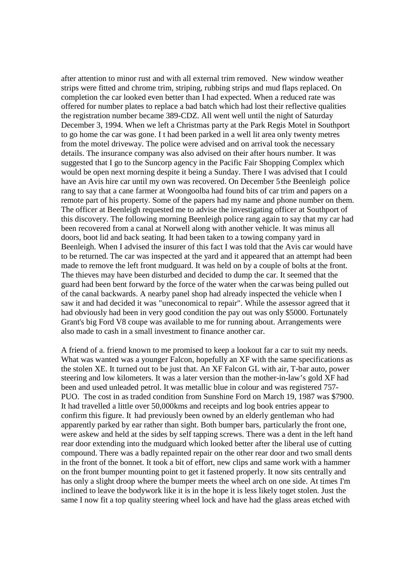after attention to minor rust and with all external trim removed. New window weather strips were fitted and chrome trim, striping, rubbing strips and mud flaps replaced. On completion the car looked even better than I had expected. When a reduced rate was offered for number plates to replace a bad batch which had lost their reflective qualities the registration number became 389-CDZ. All went well until the night of Saturday December 3, 1994. When we left a Christmas party at the Park Regis Motel in Southport to go home the car was gone. I t had been parked in a well lit area only twenty metres from the motel driveway. The police were advised and on arrival took the necessary details. The insurance company was also advised on their after hours number. It was suggested that I go to the Suncorp agency in the Pacific Fair Shopping Complex which would be open next morning despite it being a Sunday. There I was advised that I could have an Avis hire car until my own was recovered. On December 5the Beenleigh police rang to say that a cane farmer at Woongoolba had found bits of car trim and papers on a remote part of his property. Some of the papers had my name and phone number on them. The officer at Beenleigh requested me to advise the investigating officer at Southport of this discovery. The following morning Beenleigh police rang again to say that my car had been recovered from a canal at Norwell along with another vehicle. It was minus all doors, boot lid and back seating. It had been taken to a towing company yard in Beenleigh. When I advised the insurer of this fact I was told that the Avis car would have to be returned. The car was inspected at the yard and it appeared that an attempt had been made to remove the left front mudguard. It was held on by a couple of bolts at the front. The thieves may have been disturbed and decided to dump the car. It seemed that the guard had been bent forward by the force of the water when the carwas being pulled out of the canal backwards. A nearby panel shop had already inspected the vehicle when I saw it and had decided it was "uneconomical to repair". While the assessor agreed that it had obviously had been in very good condition the pay out was only \$5000. Fortunately Grant's big Ford V8 coupe was available to me for running about. Arrangements were also made to cash in a small investment to finance another car.

A friend of a. friend known to me promised to keep a lookout far a car to suit my needs. What was wanted was a younger Falcon, hopefully an XF with the same specifications as the stolen XE. It turned out to be just that. An XF Falcon GL with air, T-bar auto, power steering and low kilometers. It was a later version than the mother-in-law's gold XF had been and used unleaded petrol. It was metallic blue in colour and was registered 757- PUO. The cost in as traded condition from Sunshine Ford on March 19, 1987 was \$7900. It had travelled a little over 50,000kms and receipts and log book entries appear to confirm this figure. It had previously been owned by an elderly gentleman who had apparently parked by ear rather than sight. Both bumper bars, particularly the front one, were askew and held at the sides by self tapping screws. There was a dent in the left hand rear door extending into the mudguard which looked better after the liberal use of cutting compound. There was a badly repainted repair on the other rear door and two small dents in the front of the bonnet. It took a bit of effort, new clips and same work with a hammer on the front bumper mounting point to get it fastened properly. It now sits centrally and has only a slight droop where the bumper meets the wheel arch on one side. At times I'm inclined to leave the bodywork like it is in the hope it is less likely toget stolen. Just the same I now fit a top quality steering wheel lock and have had the glass areas etched with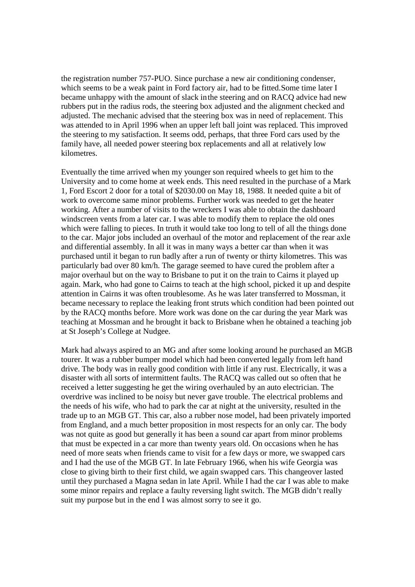the registration number 757-PUO. Since purchase a new air conditioning condenser, which seems to be a weak paint in Ford factory air, had to be fitted.Some time later I became unhappy with the amount of slack inthe steering and on RACQ advice had new rubbers put in the radius rods, the steering box adjusted and the alignment checked and adjusted. The mechanic advised that the steering box was in need of replacement. This was attended to in April 1996 when an upper left ball joint was replaced. This improved the steering to my satisfaction. It seems odd, perhaps, that three Ford cars used by the family have, all needed power steering box replacements and all at relatively low kilometres.

Eventually the time arrived when my younger son required wheels to get him to the University and to come home at week ends. This need resulted in the purchase of a Mark 1, Ford Escort 2 door for a total of \$2030.00 on May 18, 1988. It needed quite a bit of work to overcome same minor problems. Further work was needed to get the heater working. After a number of visits to the wreckers I was able to obtain the dashboard windscreen vents from a later car. I was able to modify them to replace the old ones which were falling to pieces. In truth it would take too long to tell of all the things done to the car. Major jobs included an overhaul of the motor and replacement of the rear axle and differential assembly. In all it was in many ways a better car than when it was purchased until it began to run badly after a run of twenty or thirty kilometres. This was particularly bad over 80 km/h. The garage seemed to have cured the problem after a major overhaul but on the way to Brisbane to put it on the train to Cairns it played up again. Mark, who had gone to Cairns to teach at the high school, picked it up and despite attention in Cairns it was often troublesome. As he was later transferred to Mossman, it became necessary to replace the leaking front struts which condition had been pointed out by the RACQ months before. More work was done on the car during the year Mark was teaching at Mossman and he brought it back to Brisbane when he obtained a teaching job at St Joseph's College at Nudgee.

Mark had always aspired to an MG and after some looking around he purchased an MGB tourer. It was a rubber bumper model which had been converted legally from left hand drive. The body was in really good condition with little if any rust. Electrically, it was a disaster with all sorts of intermittent faults. The RACQ was called out so often that he received a letter suggesting he get the wiring overhauled by an auto electrician. The overdrive was inclined to be noisy but never gave trouble. The electrical problems and the needs of his wife, who had to park the car at night at the university, resulted in the trade up to an MGB GT. This car, also a rubber nose model, had been privately imported from England, and a much better proposition in most respects for an only car. The body was not quite as good but generally it has been a sound car apart from minor problems that must be expected in a car more than twenty years old. On occasions when he has need of more seats when friends came to visit for a few days or more, we swapped cars and I had the use of the MGB GT. In late February 1966, when his wife Georgia was close to giving birth to their first child, we again swapped cars. This changeover lasted until they purchased a Magna sedan in late April. While I had the car I was able to make some minor repairs and replace a faulty reversing light switch. The MGB didn't really suit my purpose but in the end I was almost sorry to see it go.